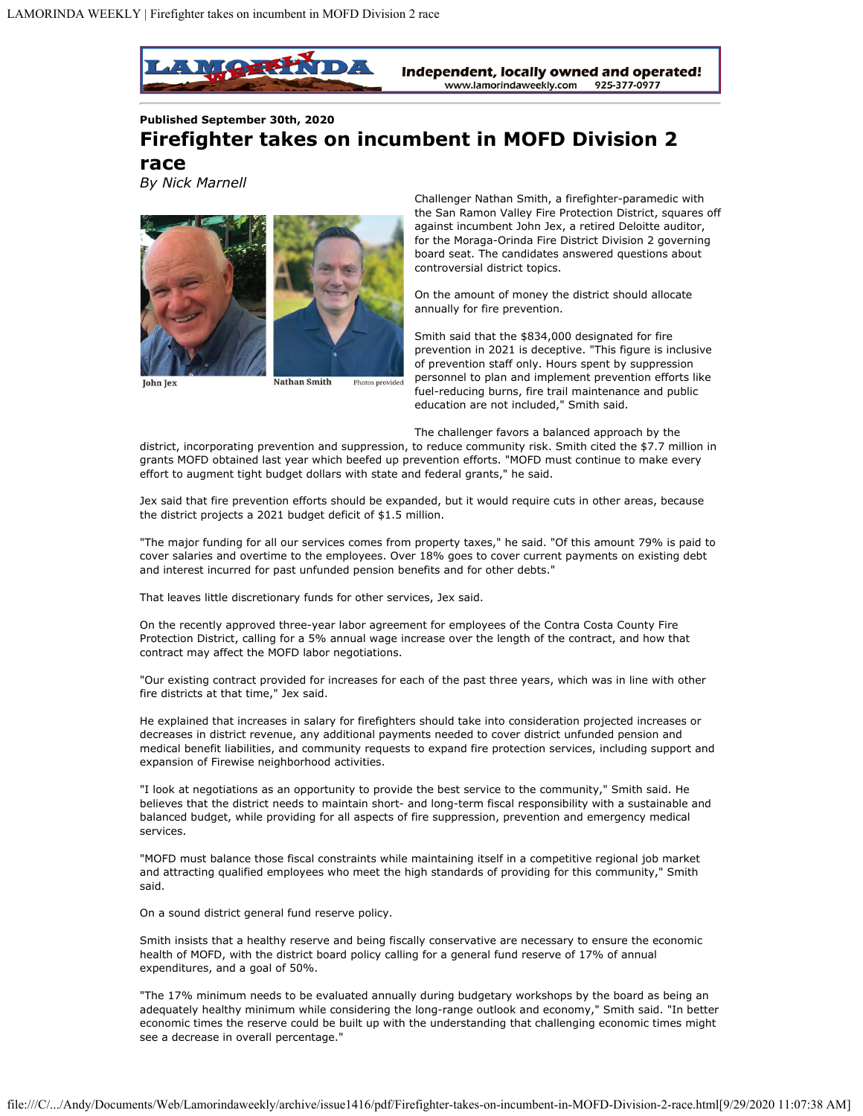

**Published September 30th, 2020**

## **Firefighter takes on incumbent in MOFD Division 2**

**race** *By Nick Marnell*



**Nathan Smith** Photos provided

Challenger Nathan Smith, a firefighter-paramedic with the San Ramon Valley Fire Protection District, squares off against incumbent John Jex, a retired Deloitte auditor, for the Moraga-Orinda Fire District Division 2 governing board seat. The candidates answered questions about controversial district topics.

On the amount of money the district should allocate annually for fire prevention.

Smith said that the \$834,000 designated for fire prevention in 2021 is deceptive. "This figure is inclusive of prevention staff only. Hours spent by suppression personnel to plan and implement prevention efforts like fuel-reducing burns, fire trail maintenance and public education are not included," Smith said.

The challenger favors a balanced approach by the

district, incorporating prevention and suppression, to reduce community risk. Smith cited the \$7.7 million in grants MOFD obtained last year which beefed up prevention efforts. "MOFD must continue to make every effort to augment tight budget dollars with state and federal grants," he said.

Jex said that fire prevention efforts should be expanded, but it would require cuts in other areas, because the district projects a 2021 budget deficit of \$1.5 million.

"The major funding for all our services comes from property taxes," he said. "Of this amount 79% is paid to cover salaries and overtime to the employees. Over 18% goes to cover current payments on existing debt and interest incurred for past unfunded pension benefits and for other debts."

That leaves little discretionary funds for other services, Jex said.

On the recently approved three-year labor agreement for employees of the Contra Costa County Fire Protection District, calling for a 5% annual wage increase over the length of the contract, and how that contract may affect the MOFD labor negotiations.

"Our existing contract provided for increases for each of the past three years, which was in line with other fire districts at that time," Jex said.

He explained that increases in salary for firefighters should take into consideration projected increases or decreases in district revenue, any additional payments needed to cover district unfunded pension and medical benefit liabilities, and community requests to expand fire protection services, including support and expansion of Firewise neighborhood activities.

"I look at negotiations as an opportunity to provide the best service to the community," Smith said. He believes that the district needs to maintain short- and long-term fiscal responsibility with a sustainable and balanced budget, while providing for all aspects of fire suppression, prevention and emergency medical services.

"MOFD must balance those fiscal constraints while maintaining itself in a competitive regional job market and attracting qualified employees who meet the high standards of providing for this community," Smith said.

On a sound district general fund reserve policy.

Smith insists that a healthy reserve and being fiscally conservative are necessary to ensure the economic health of MOFD, with the district board policy calling for a general fund reserve of 17% of annual expenditures, and a goal of 50%.

"The 17% minimum needs to be evaluated annually during budgetary workshops by the board as being an adequately healthy minimum while considering the long-range outlook and economy," Smith said. "In better economic times the reserve could be built up with the understanding that challenging economic times might see a decrease in overall percentage."